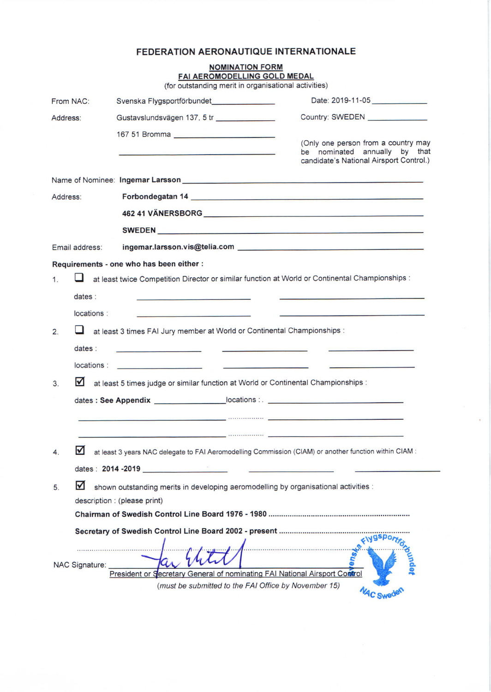# FEDERATION AERONAUTIQUE INTERNATIONALE

|           |                       | <b>NOMINATION FORM</b><br>FAI AEROMODELLING GOLD MEDAL<br>(for outstanding merit in organisational activities)                                                                                                                       |                                                                                                                 |
|-----------|-----------------------|--------------------------------------------------------------------------------------------------------------------------------------------------------------------------------------------------------------------------------------|-----------------------------------------------------------------------------------------------------------------|
| From NAC: |                       | Svenska Flygsportförbundet                                                                                                                                                                                                           | Date: 2019-11-05                                                                                                |
| Address:  |                       | Gustavslundsvägen 137, 5 tr                                                                                                                                                                                                          | Country: SWEDEN ______________                                                                                  |
|           |                       | 167 51 Bromma                                                                                                                                                                                                                        | (Only one person from a country may<br>be nominated annually by that<br>candidate's National Airsport Control.) |
|           |                       |                                                                                                                                                                                                                                      |                                                                                                                 |
| Address:  |                       | Forbondegatan 14 November 2014 and 2016 and 2017 and 2017 and 2017 and 2017 and 2017 and 2017 and 2017 and 201                                                                                                                       |                                                                                                                 |
|           |                       | 462 41 VÄNERSBORG NEWSFILM STATE STATE STATE STATE STATE STATE STATE STATE STATE STATE STATE STATE STATE STATE                                                                                                                       |                                                                                                                 |
|           |                       | SWEDEN <b>EXAMPLE A SWEDEN</b>                                                                                                                                                                                                       |                                                                                                                 |
|           | Email address:        |                                                                                                                                                                                                                                      |                                                                                                                 |
|           |                       | Requirements - one who has been either :                                                                                                                                                                                             |                                                                                                                 |
| 1         |                       | at least twice Competition Director or similar function at World or Continental Championships :                                                                                                                                      |                                                                                                                 |
|           | dates:                |                                                                                                                                                                                                                                      |                                                                                                                 |
|           | locations :           | the contract of the contract of the contract of the contract of the contract of                                                                                                                                                      |                                                                                                                 |
| 2.        |                       | at least 3 times FAI Jury member at World or Continental Championships :                                                                                                                                                             |                                                                                                                 |
|           | dates:                | <u> 1989 - Johann Harry Barn, mars and de Barn, mars and de Barn, mars and de Barn, mars and de Barn, mars and de</u>                                                                                                                |                                                                                                                 |
|           | locations :           | <u> 1989 - John Harry Harry Harry Harry Harry Harry Harry Harry Harry Harry Harry Harry Harry Harry Harry Harry Harry Harry Harry Harry Harry Harry Harry Harry Harry Harry Harry Harry Harry Harry Harry Harry Harry Harry Harr</u> |                                                                                                                 |
| 3.        | ⋈                     | at least 5 times judge or similar function at World or Continental Championships :                                                                                                                                                   |                                                                                                                 |
|           |                       |                                                                                                                                                                                                                                      |                                                                                                                 |
|           |                       | $\mathcal{L}$ . The continuous contract of the contract of the contract of the contract of the contract of the contract of the contract of the contract of the contract of the contract of the contract of the contract of the con   |                                                                                                                 |
|           |                       |                                                                                                                                                                                                                                      |                                                                                                                 |
| 4.        | M                     | at least 3 years NAC delegate to FAI Aeromodelling Commission (CIAM) or another function within CIAM :<br>dates: 2014 -2019                                                                                                          |                                                                                                                 |
|           |                       |                                                                                                                                                                                                                                      |                                                                                                                 |
| 5.        |                       | shown outstanding merits in developing aeromodelling by organisational activities :<br>description : (please print)                                                                                                                  |                                                                                                                 |
|           |                       |                                                                                                                                                                                                                                      |                                                                                                                 |
|           | <b>NAC Signature:</b> | President or Secretary General of nominating FAI National Airsport Control<br>(must be submitted to the FAI Office by November 15)                                                                                                   | FIYOSPO                                                                                                         |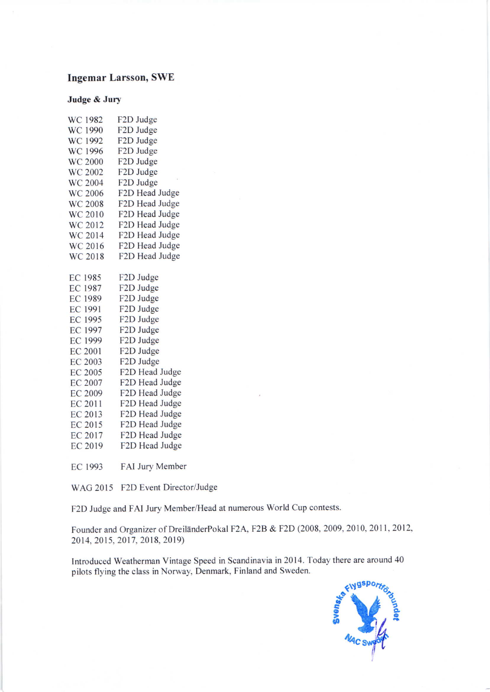## Ingemar Larsson, SWE

### Judge & Jury

| F2D Judge      |
|----------------|
| F2D Judge      |
| F2D Judge      |
| F2D Judge      |
| F2D Judge      |
| F2D Judge      |
| F2D Judge      |
| F2D Head Judge |
| F2D Head Judge |
| F2D Head Judge |
| F2D Head Judge |
| F2D Head Judge |
| F2D Head Judge |
| F2D Head Judge |
|                |
| F2D Judge      |
| F2D Judge      |
| F2D Judge      |
| F2D Judge      |
| F2D Judge      |
| F2D Judge      |
| F2D Judge      |
| F2D Judge      |
| F2D Judge      |
| F2D Head Judge |
| F2D Head Judge |
| F2D Head Judge |
| F2D Head Judge |
| F2D Head Judge |
| F2D Head Judge |
| F2D Head Judge |
| F2D Head Judge |
|                |

EC 1993 FAI Jury Member

WAG 2015 F2D Event Director/Judge

F2D Judge and FAI Jury Member/Head at numerous World Cup contests.

Founder and Organizer of DreillnderPokal F2A, F2B & F2D (2008, 2009,2010,2011,2012, 2014, 2015, 2017, 2018, 2019)

Introduced Weatherman Vintage Speed in Scandinavia in 2014. Today there are around 40 pilots flying the class in Norway, Denmark, Finland and Sweden.